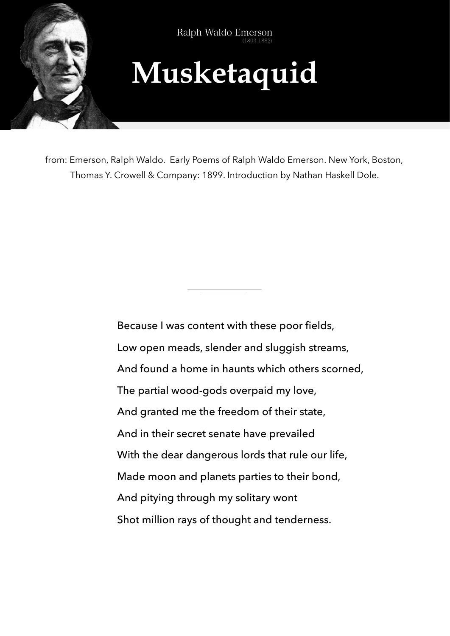

Ralph Waldo Emerson

## **Musketaquid**

from: Emerson, Ralph Waldo. Early Poems of Ralph Waldo Emerson. New York, Boston, Thomas Y. Crowell & Company: 1899. Introduction by Nathan Haskell Dole.

> Because I was content with these poor fields, Low open meads, slender and sluggish streams, And found a home in haunts which others scorned, The partial wood-gods overpaid my love, And granted me the freedom of their state, And in their secret senate have prevailed With the dear dangerous lords that rule our life, Made moon and planets parties to their bond, And pitying through my solitary wont Shot million rays of thought and tenderness.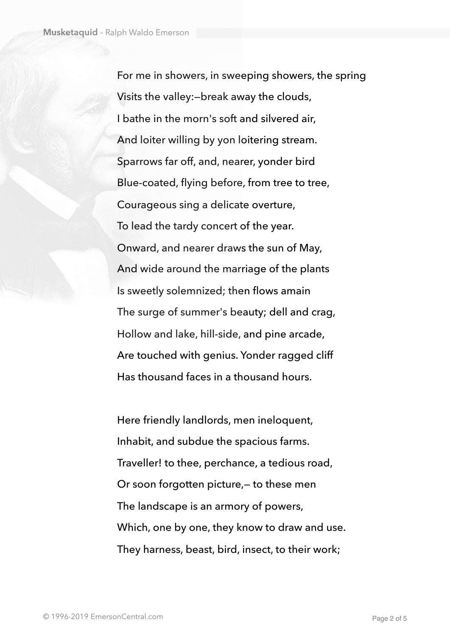For me in showers, in sweeping showers, the spring Visits the valley:—break away the clouds, I bathe in the morn's soft and silvered air, And loiter willing by yon loitering stream. Sparrows far off, and, nearer, yonder bird Blue-coated, flying before, from tree to tree, Courageous sing a delicate overture, To lead the tardy concert of the year. Onward, and nearer draws the sun of May, And wide around the marriage of the plants Is sweetly solemnized; then flows amain The surge of summer's beauty; dell and crag, Hollow and lake, hill-side, and pine arcade, Are touched with genius. Yonder ragged cliff Has thousand faces in a thousand hours.

Here friendly landlords, men ineloquent, Inhabit, and subdue the spacious farms. Traveller! to thee, perchance, a tedious road, Or soon forgotten picture,— to these men The landscape is an armory of powers, Which, one by one, they know to draw and use. They harness, beast, bird, insect, to their work;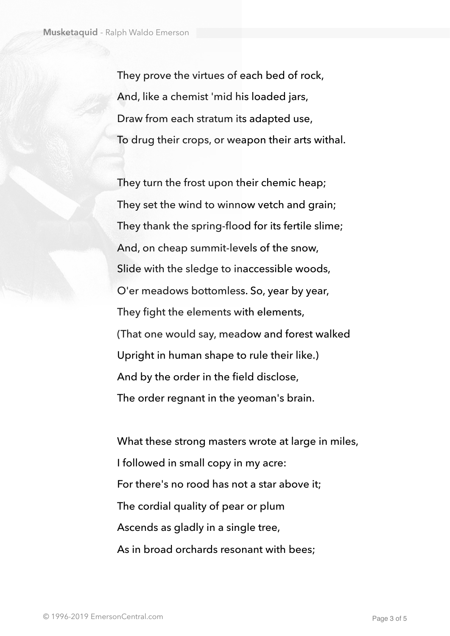They prove the virtues of each bed of rock, And, like a chemist 'mid his loaded jars, Draw from each stratum its adapted use, To drug their crops, or weapon their arts withal.

They turn the frost upon their chemic heap; They set the wind to winnow vetch and grain; They thank the spring-flood for its fertile slime; And, on cheap summit-levels of the snow, Slide with the sledge to inaccessible woods, O'er meadows bottomless. So, year by year, They fight the elements with elements, (That one would say, meadow and forest walked Upright in human shape to rule their like.) And by the order in the field disclose, The order regnant in the yeoman's brain.

What these strong masters wrote at large in miles, I followed in small copy in my acre: For there's no rood has not a star above it; The cordial quality of pear or plum Ascends as gladly in a single tree, As in broad orchards resonant with bees;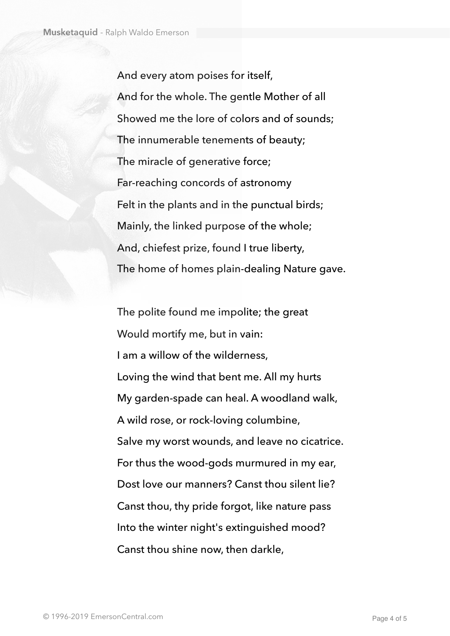And every atom poises for itself, And for the whole. The gentle Mother of all Showed me the lore of colors and of sounds; The innumerable tenements of beauty; The miracle of generative force; Far-reaching concords of astronomy Felt in the plants and in the punctual birds; Mainly, the linked purpose of the whole; And, chiefest prize, found I true liberty, The home of homes plain-dealing Nature gave.

The polite found me impolite; the great Would mortify me, but in vain: I am a willow of the wilderness, Loving the wind that bent me. All my hurts My garden-spade can heal. A woodland walk, A wild rose, or rock-loving columbine, Salve my worst wounds, and leave no cicatrice. For thus the wood-gods murmured in my ear, Dost love our manners? Canst thou silent lie? Canst thou, thy pride forgot, like nature pass Into the winter night's extinguished mood? Canst thou shine now, then darkle,